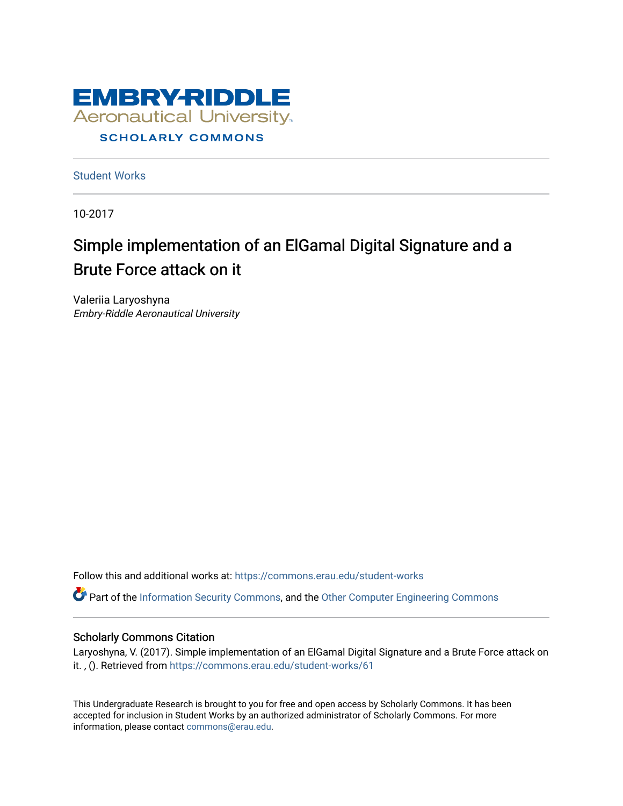

[Student Works](https://commons.erau.edu/student-works)

10-2017

# Simple implementation of an ElGamal Digital Signature and a Brute Force attack on it

Valeriia Laryoshyna Embry-Riddle Aeronautical University

Follow this and additional works at: [https://commons.erau.edu/student-works](https://commons.erau.edu/student-works?utm_source=commons.erau.edu%2Fstudent-works%2F61&utm_medium=PDF&utm_campaign=PDFCoverPages) 

Part of the [Information Security Commons](http://network.bepress.com/hgg/discipline/1247?utm_source=commons.erau.edu%2Fstudent-works%2F61&utm_medium=PDF&utm_campaign=PDFCoverPages), and the [Other Computer Engineering Commons](http://network.bepress.com/hgg/discipline/265?utm_source=commons.erau.edu%2Fstudent-works%2F61&utm_medium=PDF&utm_campaign=PDFCoverPages)

#### Scholarly Commons Citation

Laryoshyna, V. (2017). Simple implementation of an ElGamal Digital Signature and a Brute Force attack on it. , (). Retrieved from [https://commons.erau.edu/student-works/61](https://commons.erau.edu/student-works/61?utm_source=commons.erau.edu%2Fstudent-works%2F61&utm_medium=PDF&utm_campaign=PDFCoverPages) 

This Undergraduate Research is brought to you for free and open access by Scholarly Commons. It has been accepted for inclusion in Student Works by an authorized administrator of Scholarly Commons. For more information, please contact [commons@erau.edu.](mailto:commons@erau.edu)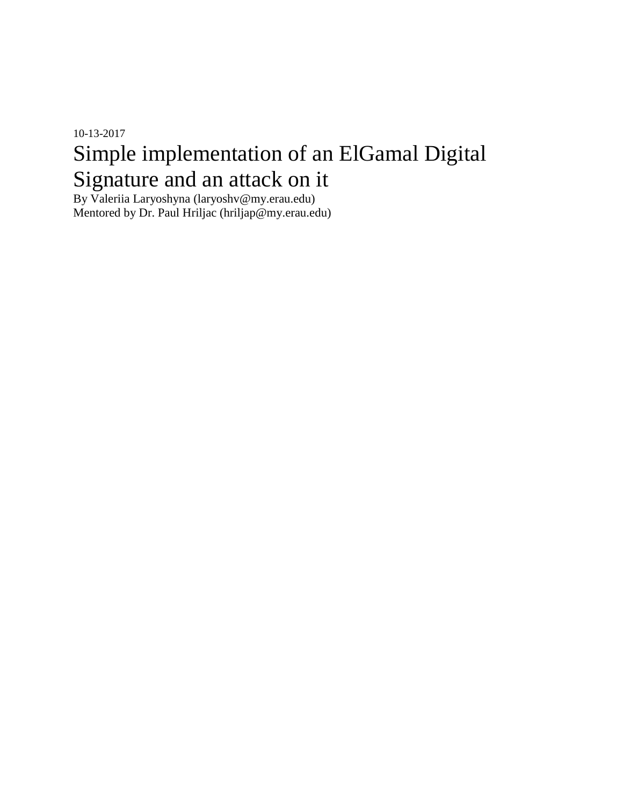# 10-13-2017 Simple implementation of an ElGamal Digital Signature and an attack on it

By Valeriia Laryoshyna (laryoshv@my.erau.edu) Mentored by Dr. Paul Hriljac (hriljap@my.erau.edu)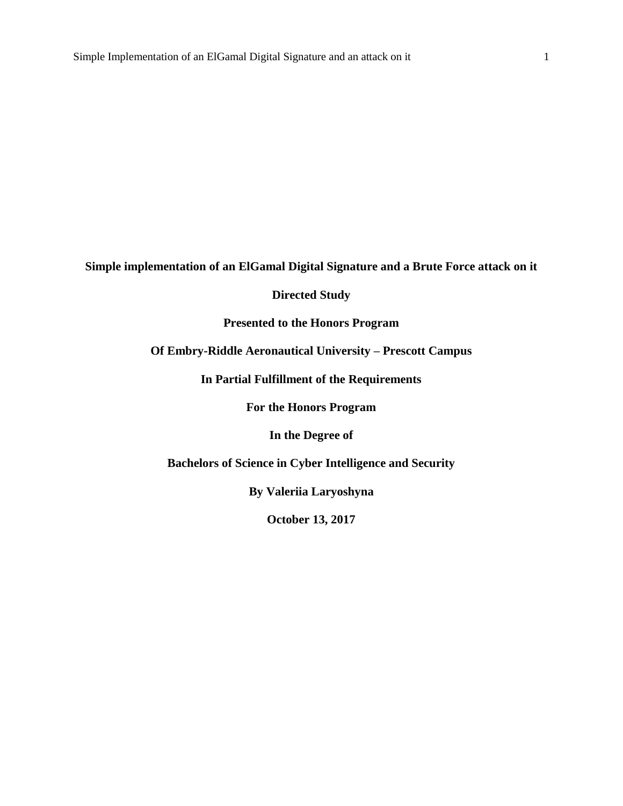**Simple implementation of an ElGamal Digital Signature and a Brute Force attack on it**

### **Directed Study**

**Presented to the Honors Program**

**Of Embry-Riddle Aeronautical University – Prescott Campus**

**In Partial Fulfillment of the Requirements**

**For the Honors Program**

**In the Degree of**

**Bachelors of Science in Cyber Intelligence and Security**

**By Valeriia Laryoshyna**

**October 13, 2017**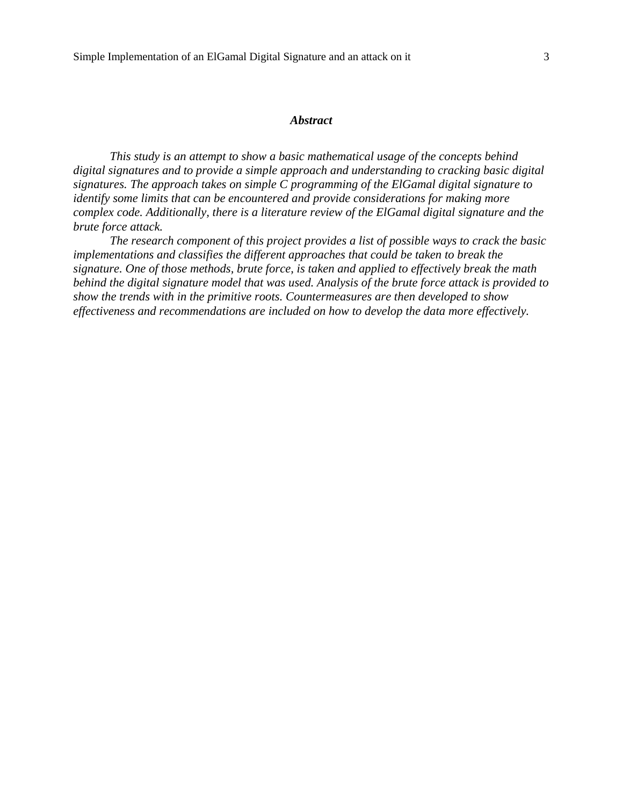## *Abstract*

*This study is an attempt to show a basic mathematical usage of the concepts behind digital signatures and to provide a simple approach and understanding to cracking basic digital signatures. The approach takes on simple C programming of the ElGamal digital signature to identify some limits that can be encountered and provide considerations for making more complex code. Additionally, there is a literature review of the ElGamal digital signature and the brute force attack.*

*The research component of this project provides a list of possible ways to crack the basic implementations and classifies the different approaches that could be taken to break the signature. One of those methods, brute force, is taken and applied to effectively break the math behind the digital signature model that was used. Analysis of the brute force attack is provided to show the trends with in the primitive roots. Countermeasures are then developed to show effectiveness and recommendations are included on how to develop the data more effectively.*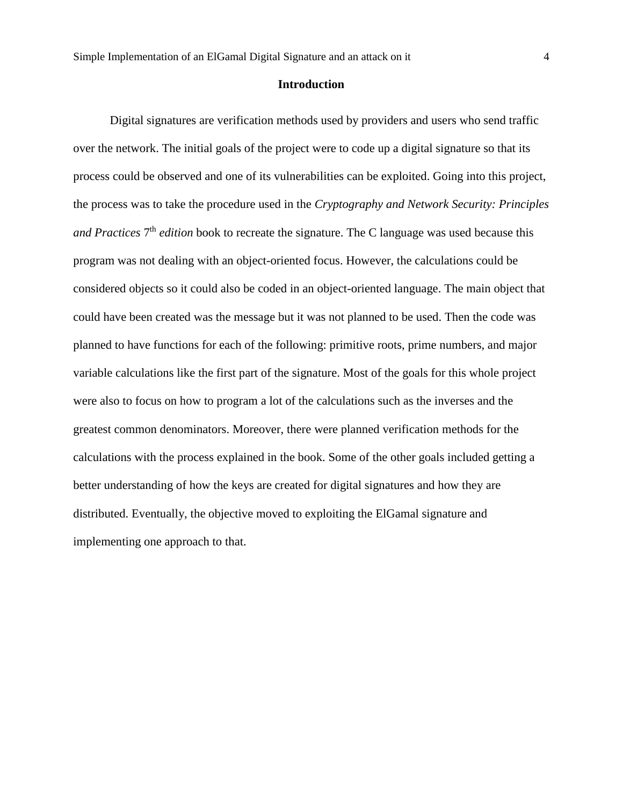#### **Introduction**

Digital signatures are verification methods used by providers and users who send traffic over the network. The initial goals of the project were to code up a digital signature so that its process could be observed and one of its vulnerabilities can be exploited. Going into this project, the process was to take the procedure used in the *Cryptography and Network Security: Principles*  and Practices 7<sup>th</sup> edition book to recreate the signature. The C language was used because this program was not dealing with an object-oriented focus. However, the calculations could be considered objects so it could also be coded in an object-oriented language. The main object that could have been created was the message but it was not planned to be used. Then the code was planned to have functions for each of the following: primitive roots, prime numbers, and major variable calculations like the first part of the signature. Most of the goals for this whole project were also to focus on how to program a lot of the calculations such as the inverses and the greatest common denominators. Moreover, there were planned verification methods for the calculations with the process explained in the book. Some of the other goals included getting a better understanding of how the keys are created for digital signatures and how they are distributed. Eventually, the objective moved to exploiting the ElGamal signature and implementing one approach to that.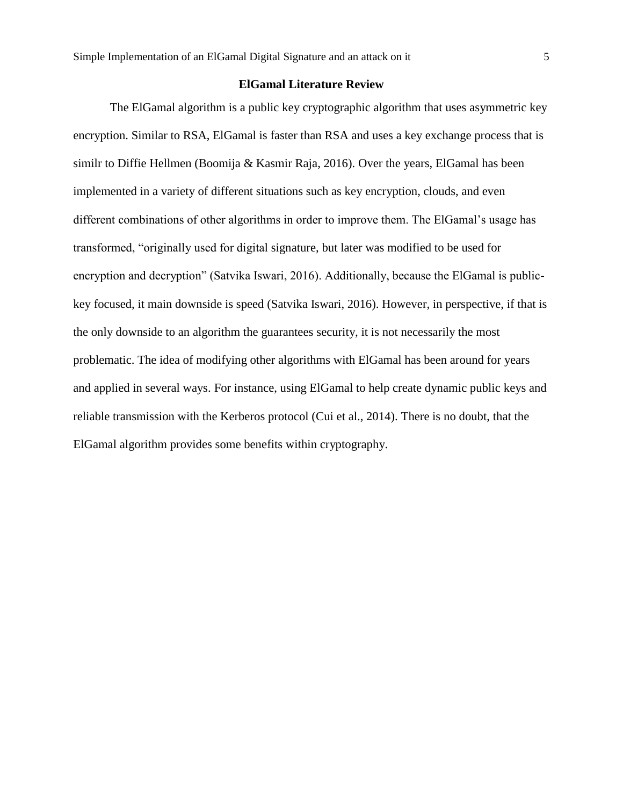#### **ElGamal Literature Review**

The ElGamal algorithm is a public key cryptographic algorithm that uses asymmetric key encryption. Similar to RSA, ElGamal is faster than RSA and uses a key exchange process that is similr to Diffie Hellmen (Boomija & Kasmir Raja, 2016). Over the years, ElGamal has been implemented in a variety of different situations such as key encryption, clouds, and even different combinations of other algorithms in order to improve them. The ElGamal's usage has transformed, "originally used for digital signature, but later was modified to be used for encryption and decryption" (Satvika Iswari, 2016). Additionally, because the ElGamal is publickey focused, it main downside is speed (Satvika Iswari, 2016). However, in perspective, if that is the only downside to an algorithm the guarantees security, it is not necessarily the most problematic. The idea of modifying other algorithms with ElGamal has been around for years and applied in several ways. For instance, using ElGamal to help create dynamic public keys and reliable transmission with the Kerberos protocol (Cui et al., 2014). There is no doubt, that the ElGamal algorithm provides some benefits within cryptography.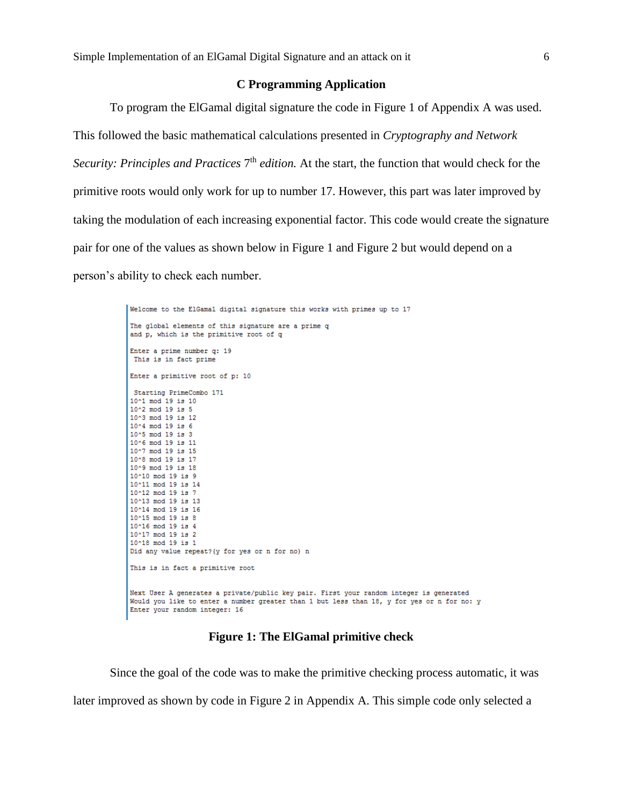#### **C Programming Application**

To program the ElGamal digital signature the code in Figure 1 of Appendix A was used. This followed the basic mathematical calculations presented in *Cryptography and Network*  Security: Principles and Practices 7<sup>th</sup> edition. At the start, the function that would check for the primitive roots would only work for up to number 17. However, this part was later improved by taking the modulation of each increasing exponential factor. This code would create the signature pair for one of the values as shown below in Figure 1 and Figure 2 but would depend on a person's ability to check each number.

```
Welcome to the ElGamal digital signature this works with primes up to 17
The global elements of this signature are a prime q
and p, which is the primitive root of q
Enter a prime number q: 19
This is in fact prime
Enter a primitive root of p: 10
Starting PrimeCombo 171
10^1 mod 19 is 10
10^2 mod 19 is 5
10^3 mod 19 is 12
10^4 mod 19 is 6
10^5 mod 19 is 3
10^6 mod 19 is 11
10^7 mod 19 is 15
10^8 mod 19 is 17
10^9 mod 19 is 18
10^10 mod 19 is 9
10^11 mod 19 is 14
10^12 mod 19 is 7
10^13 mod 19 is 13
10^14 mod 19 is 16
10^15 mod 19 is 8
10^16 mod 19 is 4
10^17 mod 19 is 2
10^18 mod 19 is 1
Did any value repeat? (y for yes or n for no) n
This is in fact a primitive root
Next User A generates a private/public key pair. First your random integer is generated
Would you like to enter a number greater than 1 but less than 18, y for yes or n for no: y
Enter your random integer: 16
```
**Figure 1: The ElGamal primitive check**

Since the goal of the code was to make the primitive checking process automatic, it was later improved as shown by code in Figure 2 in Appendix A. This simple code only selected a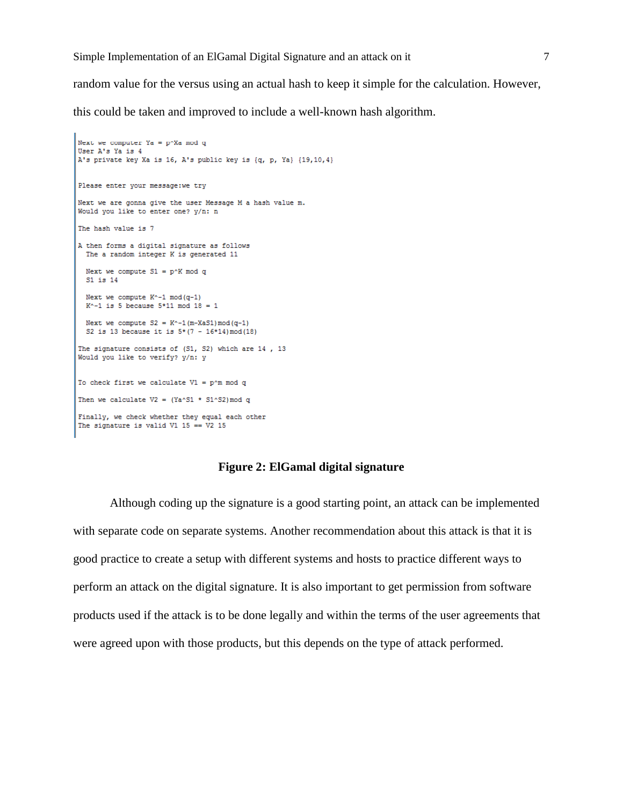random value for the versus using an actual hash to keep it simple for the calculation. However,

this could be taken and improved to include a well-known hash algorithm.

```
Next we computer Ya = p^XXa mod q
User A's Ya is 4
A's private key Xa is 16, A's public key is {q, p, Ya} {19,10,4}
Please enter your message: we try
Next we are gonna give the user Message M a hash value m.
Would you like to enter one? y/n: n
The hash value is 7
A then forms a digital signature as follows
 The a random integer K is generated 11
  Next we compute S1 = p^k mod q
  S1 is 14
  Next we compute K^{\wedge} - 1 \mod(q-1)K^{\wedge}-1 is 5 because 5*11 mod 18 = 1
  Next we compute S2 = K^{\wedge} - 1 (m-XaS1) mod (q-1)
  S2 is 13 because it is 5*(7 - 16*14) \mod (18)The signature consists of (S1, S2) which are 14, 13
Would you like to verify? y/n: y
To check first we calculate VI = p^m \mod qThen we calculate V2 = (Ya \textdegree S1 * 51 \textdegree S2) \text{ mod } qFinally, we check whether they equal each other
The signature is valid V1 15 == V2 15
```
#### **Figure 2: ElGamal digital signature**

Although coding up the signature is a good starting point, an attack can be implemented with separate code on separate systems. Another recommendation about this attack is that it is good practice to create a setup with different systems and hosts to practice different ways to perform an attack on the digital signature. It is also important to get permission from software products used if the attack is to be done legally and within the terms of the user agreements that were agreed upon with those products, but this depends on the type of attack performed.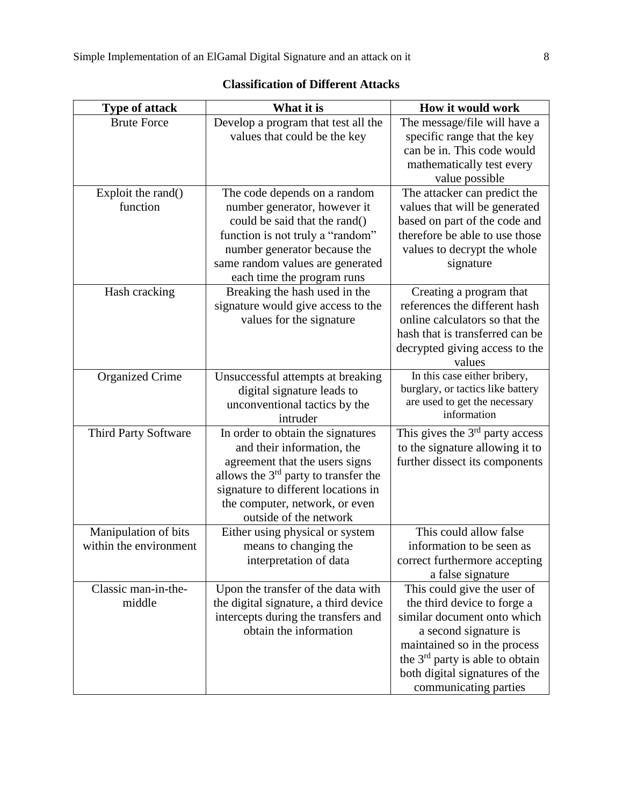| Type of attack         | What it is                             | How it would work                                                 |
|------------------------|----------------------------------------|-------------------------------------------------------------------|
| <b>Brute Force</b>     | Develop a program that test all the    | The message/file will have a                                      |
|                        | values that could be the key           | specific range that the key                                       |
|                        |                                        | can be in. This code would                                        |
|                        |                                        | mathematically test every                                         |
|                        |                                        | value possible                                                    |
| Exploit the rand()     | The code depends on a random           | The attacker can predict the                                      |
| function               | number generator, however it           | values that will be generated                                     |
|                        | could be said that the rand()          | based on part of the code and                                     |
|                        | function is not truly a "random"       | therefore be able to use those                                    |
|                        | number generator because the           | values to decrypt the whole                                       |
|                        | same random values are generated       | signature                                                         |
|                        | each time the program runs             |                                                                   |
| Hash cracking          | Breaking the hash used in the          | Creating a program that                                           |
|                        | signature would give access to the     | references the different hash                                     |
|                        | values for the signature               | online calculators so that the<br>hash that is transferred can be |
|                        |                                        | decrypted giving access to the                                    |
|                        |                                        | values                                                            |
| <b>Organized Crime</b> | Unsuccessful attempts at breaking      | In this case either bribery,                                      |
|                        | digital signature leads to             | burglary, or tactics like battery                                 |
|                        | unconventional tactics by the          | are used to get the necessary                                     |
|                        | intruder                               | information                                                       |
| Third Party Software   | In order to obtain the signatures      | This gives the $3rd$ party access                                 |
|                        | and their information, the             | to the signature allowing it to                                   |
|                        | agreement that the users signs         | further dissect its components                                    |
|                        | allows the $3rd$ party to transfer the |                                                                   |
|                        | signature to different locations in    |                                                                   |
|                        | the computer, network, or even         |                                                                   |
|                        | outside of the network                 |                                                                   |
| Manipulation of bits   | Either using physical or system        | This could allow false                                            |
| within the environment | means to changing the                  | information to be seen as                                         |
|                        | interpretation of data                 | correct furthermore accepting                                     |
|                        |                                        | a false signature                                                 |
| Classic man-in-the-    | Upon the transfer of the data with     | This could give the user of                                       |
| middle                 | the digital signature, a third device  | the third device to forge a                                       |
|                        | intercepts during the transfers and    | similar document onto which                                       |
|                        | obtain the information                 | a second signature is                                             |
|                        |                                        | maintained so in the process                                      |
|                        |                                        | the $3rd$ party is able to obtain                                 |
|                        |                                        | both digital signatures of the                                    |
|                        |                                        | communicating parties                                             |

## **Classification of Different Attacks**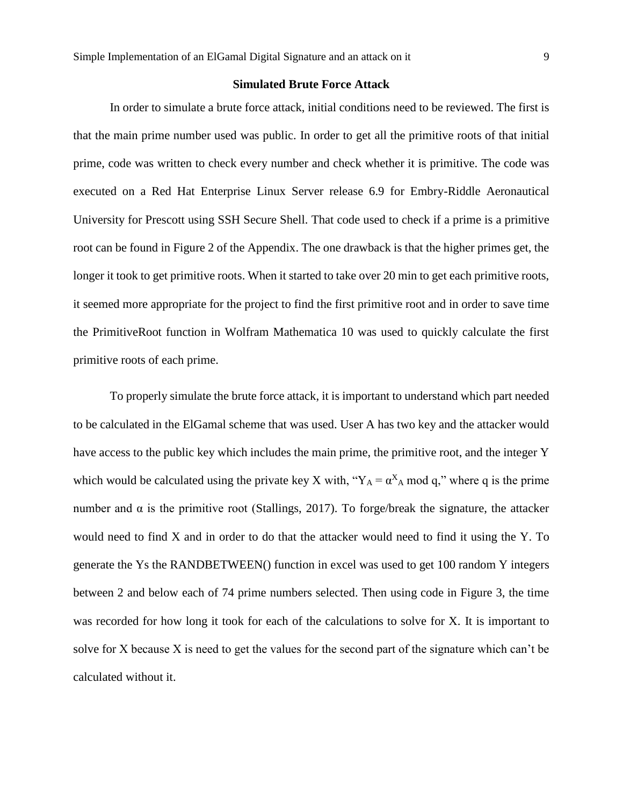#### **Simulated Brute Force Attack**

In order to simulate a brute force attack, initial conditions need to be reviewed. The first is that the main prime number used was public. In order to get all the primitive roots of that initial prime, code was written to check every number and check whether it is primitive. The code was executed on a Red Hat Enterprise Linux Server release 6.9 for Embry-Riddle Aeronautical University for Prescott using SSH Secure Shell. That code used to check if a prime is a primitive root can be found in Figure 2 of the Appendix. The one drawback is that the higher primes get, the longer it took to get primitive roots. When it started to take over 20 min to get each primitive roots, it seemed more appropriate for the project to find the first primitive root and in order to save time the PrimitiveRoot function in Wolfram Mathematica 10 was used to quickly calculate the first primitive roots of each prime.

To properly simulate the brute force attack, it is important to understand which part needed to be calculated in the ElGamal scheme that was used. User A has two key and the attacker would have access to the public key which includes the main prime, the primitive root, and the integer Y which would be calculated using the private key X with, " $Y_A = \alpha^X A \mod q$ ," where q is the prime number and  $\alpha$  is the primitive root (Stallings, 2017). To forge/break the signature, the attacker would need to find X and in order to do that the attacker would need to find it using the Y. To generate the Ys the RANDBETWEEN() function in excel was used to get 100 random Y integers between 2 and below each of 74 prime numbers selected. Then using code in Figure 3, the time was recorded for how long it took for each of the calculations to solve for X. It is important to solve for X because X is need to get the values for the second part of the signature which can't be calculated without it.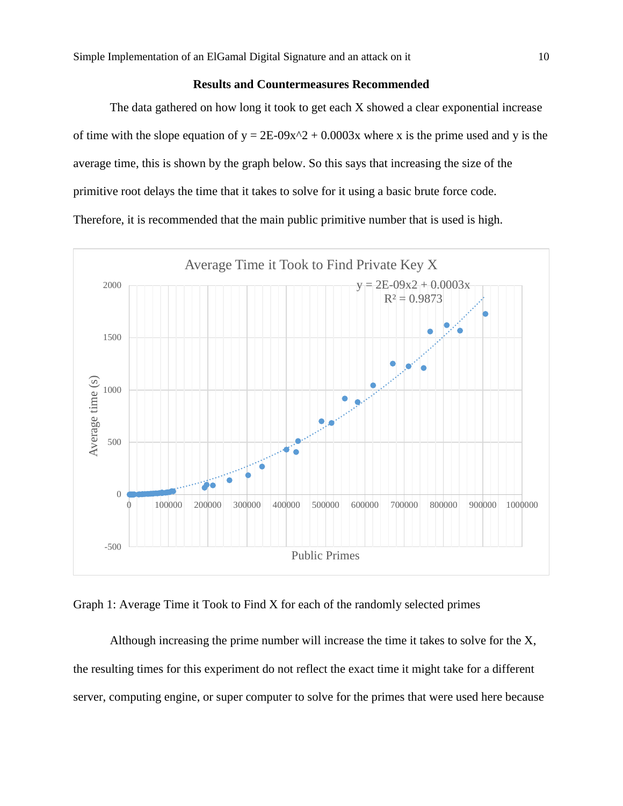#### **Results and Countermeasures Recommended**

The data gathered on how long it took to get each X showed a clear exponential increase of time with the slope equation of  $y = 2E-09x^2 + 0.0003x$  where x is the prime used and y is the average time, this is shown by the graph below. So this says that increasing the size of the primitive root delays the time that it takes to solve for it using a basic brute force code. Therefore, it is recommended that the main public primitive number that is used is high.



Graph 1: Average Time it Took to Find X for each of the randomly selected primes

Although increasing the prime number will increase the time it takes to solve for the X, the resulting times for this experiment do not reflect the exact time it might take for a different server, computing engine, or super computer to solve for the primes that were used here because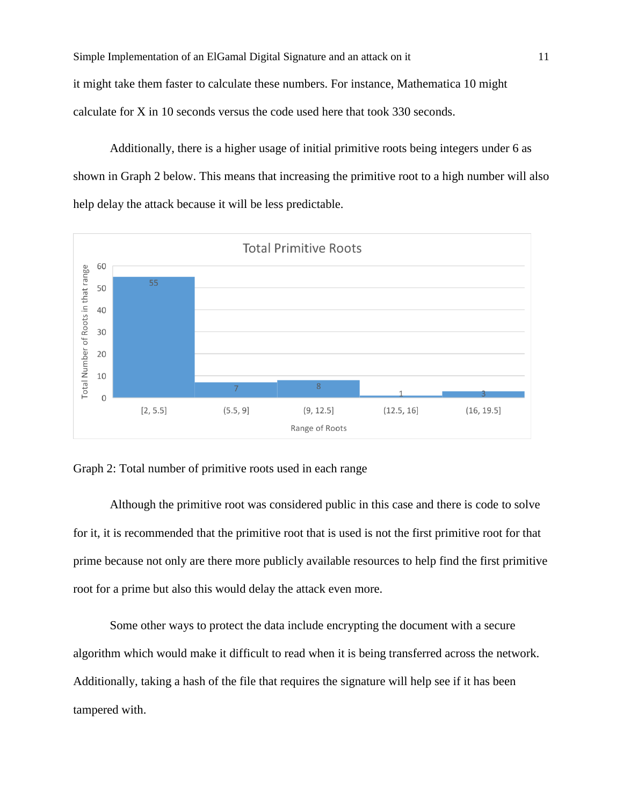Simple Implementation of an ElGamal Digital Signature and an attack on it 11 it might take them faster to calculate these numbers. For instance, Mathematica 10 might calculate for X in 10 seconds versus the code used here that took 330 seconds.

Additionally, there is a higher usage of initial primitive roots being integers under 6 as shown in Graph 2 below. This means that increasing the primitive root to a high number will also help delay the attack because it will be less predictable.



Graph 2: Total number of primitive roots used in each range

Although the primitive root was considered public in this case and there is code to solve for it, it is recommended that the primitive root that is used is not the first primitive root for that prime because not only are there more publicly available resources to help find the first primitive root for a prime but also this would delay the attack even more.

Some other ways to protect the data include encrypting the document with a secure algorithm which would make it difficult to read when it is being transferred across the network. Additionally, taking a hash of the file that requires the signature will help see if it has been tampered with.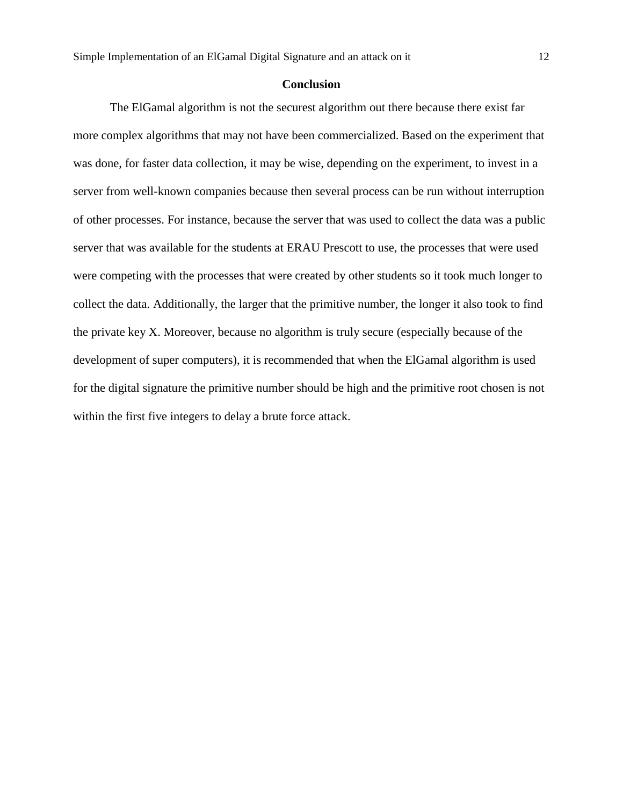#### **Conclusion**

The ElGamal algorithm is not the securest algorithm out there because there exist far more complex algorithms that may not have been commercialized. Based on the experiment that was done, for faster data collection, it may be wise, depending on the experiment, to invest in a server from well-known companies because then several process can be run without interruption of other processes. For instance, because the server that was used to collect the data was a public server that was available for the students at ERAU Prescott to use, the processes that were used were competing with the processes that were created by other students so it took much longer to collect the data. Additionally, the larger that the primitive number, the longer it also took to find the private key X. Moreover, because no algorithm is truly secure (especially because of the development of super computers), it is recommended that when the ElGamal algorithm is used for the digital signature the primitive number should be high and the primitive root chosen is not within the first five integers to delay a brute force attack.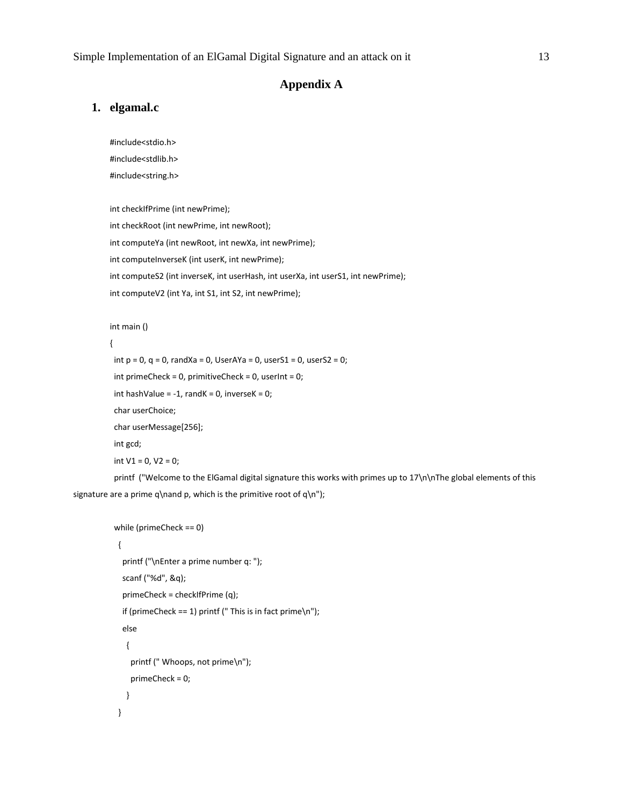#### **Appendix A**

#### **1. elgamal.c**

#include<stdio.h>

#include<stdlib.h>

#include<string.h>

int checkIfPrime (int newPrime);

int checkRoot (int newPrime, int newRoot);

int computeYa (int newRoot, int newXa, int newPrime);

int computeInverseK (int userK, int newPrime);

int computeS2 (int inverseK, int userHash, int userXa, int userS1, int newPrime);

```
int computeV2 (int Ya, int S1, int S2, int newPrime);
```
#### int main ()

```
{
 int p = 0, q = 0, randXa = 0, UserAYa = 0, userS1 = 0, userS2 = 0;
  int primeCheck = 0, primitiveCheck = 0, userInt = 0;
 int hashValue = -1, randK = 0, inverseK = 0;
  char userChoice;
  char userMessage[256];
  int gcd;
 int V1 = 0, V2 = 0;
```
 printf ("Welcome to the ElGamal digital signature this works with primes up to 17\n\nThe global elements of this signature are a prime q\nand p, which is the primitive root of q\n");

```
 while (primeCheck == 0)
 {
   printf ("\nEnter a prime number q: ");
   scanf ("%d", &q);
   primeCheck = checkIfPrime (q);
  if (primeCheck == 1) printf (" This is in fact prime\n");
   else
    {
     printf (" Whoops, not prime\n");
     primeCheck = 0;
    }
  }
```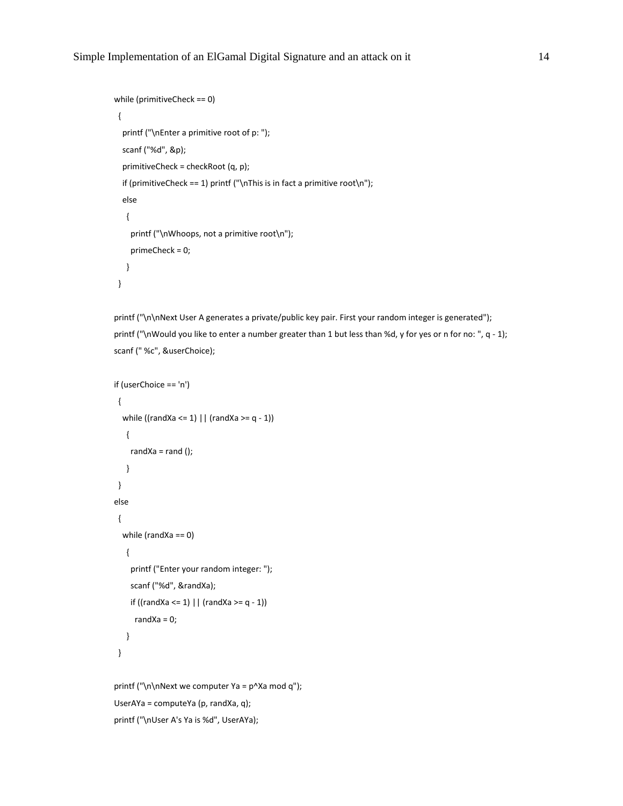```
 while (primitiveCheck == 0)
 {
   printf ("\nEnter a primitive root of p: ");
   scanf ("%d", &p);
   primitiveCheck = checkRoot (q, p);
   if (primitiveCheck == 1) printf ("\nThis is in fact a primitive root\n");
   else
    {
     printf ("\nWhoops, not a primitive root\n");
     primeCheck = 0;
    }
 }
```
printf ("\n\nNext User A generates a private/public key pair. First your random integer is generated"); printf ("\nWould you like to enter a number greater than 1 but less than %d, y for yes or n for no: ", q - 1); scanf (" %c", &userChoice);

```
 if (userChoice == 'n')
 {
   while ((randXa <= 1) || (randXa >= q - 1))
    {
    randXa = rand();
    }
 }
 else
 {
   while (randXa == 0)
    {
     printf ("Enter your random integer: ");
     scanf ("%d", &randXa);
     if ((randXa <= 1) || (randXa >= q - 1))
     randXa = 0;
    }
 }
printf ("\n\nNext we computer Ya = p^Xa mod q");
```

```
 UserAYa = computeYa (p, randXa, q);
```

```
 printf ("\nUser A's Ya is %d", UserAYa);
```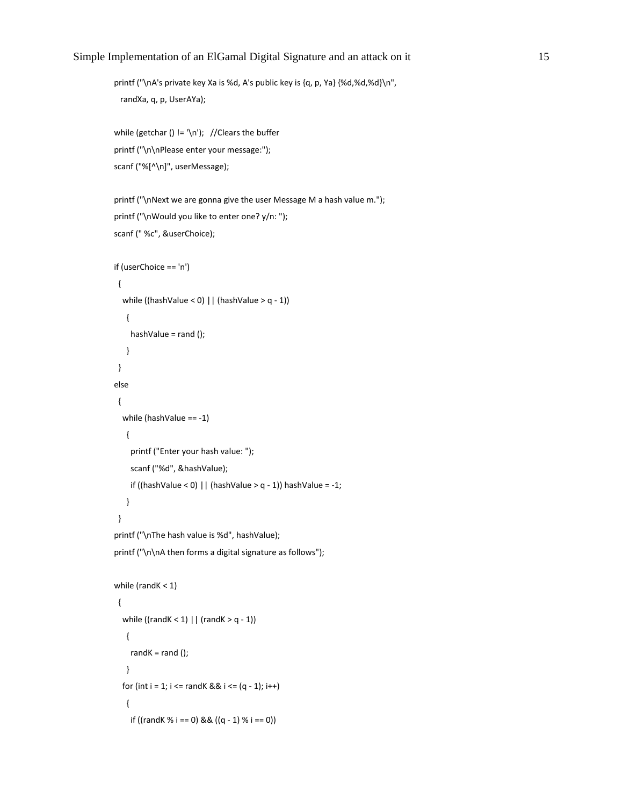printf ("\nA's private key Xa is %d, A's public key is {q, p, Ya} {%d,%d,%d}\n", randXa, q, p, UserAYa);

```
while (getchar () != '\n'); //Clears the buffer
 printf ("\n\nPlease enter your message:");
 scanf ("%[^\n]", userMessage);
```

```
printf ("\nNext we are gonna give the user Message M a hash value m.");
 printf ("\nWould you like to enter one? y/n: ");
 scanf (" %c", &userChoice);
```

```
 if (userChoice == 'n')
 {
   while ((hashValue < 0) || (hashValue > q - 1))
    {
     hashValue = rand ();
    }
 }
 else
 {
   while (hashValue == -1)
    {
     printf ("Enter your hash value: ");
     scanf ("%d", &hashValue);
    if ((hashValue < 0) || (hashValue > q - 1)) hashValue = -1;
    }
 }
 printf ("\nThe hash value is %d", hashValue);
printf ("\n\nA then forms a digital signature as follows");
```

```
while (randK < 1)
 {
  while ((randK < 1) | (randK > q - 1))
    {
    randK =rand();
    }
  for (int i = 1; i \le randK && i \le (q - 1); i++)
    {
    if ((randK % i == 0) && ((q - 1) % i == 0))
```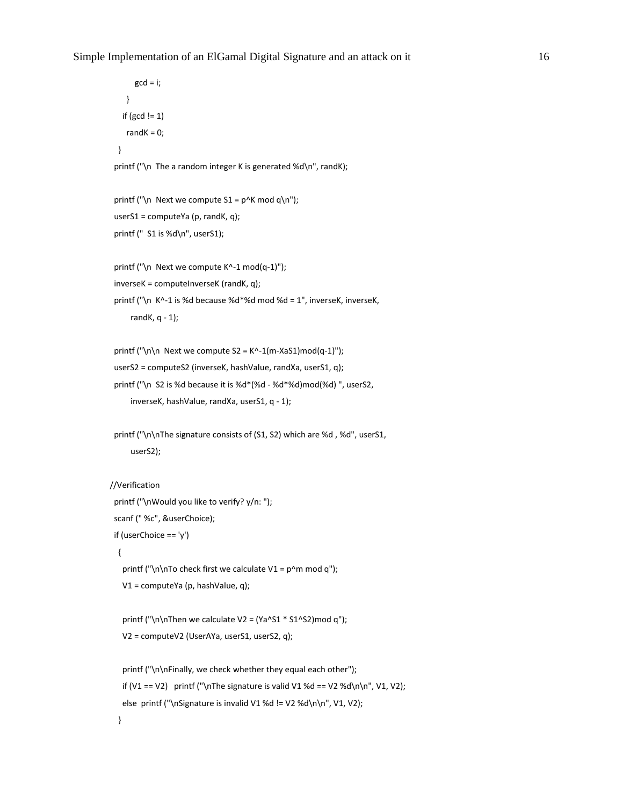```
gcd = i; }
   if (gcd != 1)randK = 0;
  }
 printf ("\n The a random integer K is generated %d\n", randK);
 printf ("\n Next we compute S1 = p^k mod q\n");
  userS1 = computeYa (p, randK, q);
 printf (" S1 is %d\n", userS1);
 printf ("\n Next we compute K^-1 mod(q-1)");
  inverseK = computeInverseK (randK, q);
  printf ("\n K^-1 is %d because %d*%d mod %d = 1", inverseK, inverseK,
      randK, q - 1);
 printf ("\n\alpha) Next we compute S2 = K^-1(m-XaS1)mod(q-1)");
  userS2 = computeS2 (inverseK, hashValue, randXa, userS1, q);
  printf ("\n S2 is %d because it is %d*(%d - %d*%d)mod(%d) ", userS2,
      inverseK, hashValue, randXa, userS1, q - 1);
 printf ("\n\nThe signature consists of (S1, S2) which are %d, %d", userS1,
      userS2);
//Verification
  printf ("\nWould you like to verify? y/n: ");
  scanf (" %c", &userChoice);
  if (userChoice == 'y')
   {
   printf ("\n\nTo check first we calculate V1 = p^m mod q");
    V1 = computeYa (p, hashValue, q);
   printf ("\n\nThen we calculate V2 = (Ya \cdot S1 * S1 \cdot S2) \mod q");
    V2 = computeV2 (UserAYa, userS1, userS2, q);
   printf ("\n\nFinally, we check whether they equal each other");
   if (V1 == V2) printf ("\nThe signature is valid V1 %d == V2 %d\n\n", V1, V2);
   else printf ("\nSignature is invalid V1 %d != V2 %d\n\n", V1, V2);
```
}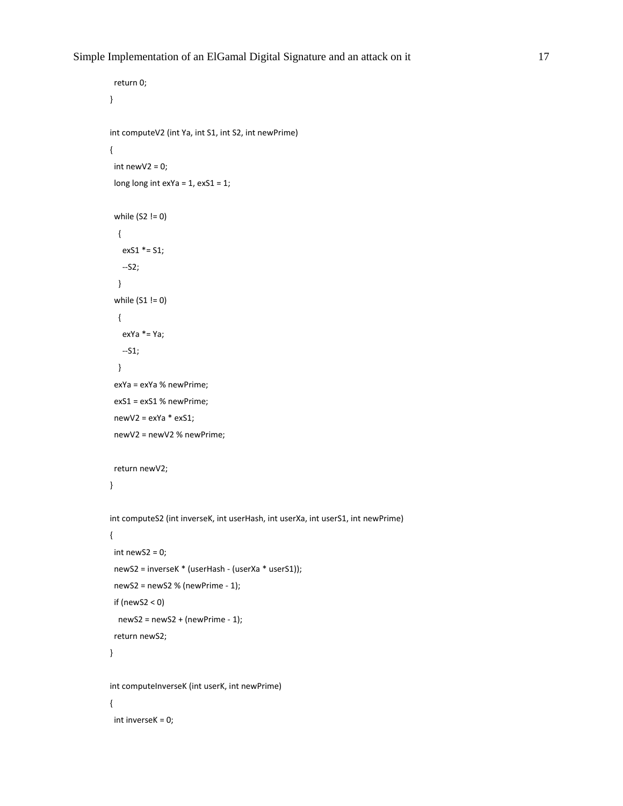```
 return 0;
}
int computeV2 (int Ya, int S1, int S2, int newPrime)
{
 int newV2 = 0;
  long long int exYa = 1, exS1 = 1;
  while (S2 != 0)
   {
    exS1 *= S1;
    --S2;
   }
  while (S1 != 0)
   {
    exYa *= Ya;
    --S1;
   }
  exYa = exYa % newPrime;
  exS1 = exS1 % newPrime;
  newV2 = exYa * exS1;
  newV2 = newV2 % newPrime;
  return newV2;
}
int computeS2 (int inverseK, int userHash, int userXa, int userS1, int newPrime)
{
 int newS2 = 0;
  newS2 = inverseK * (userHash - (userXa * userS1));
  newS2 = newS2 % (newPrime - 1);
  if (newS2 < 0)
   newS2 = newS2 + (newPrime - 1);
  return newS2;
}
int computeInverseK (int userK, int newPrime)
{
  int inverseK = 0;
```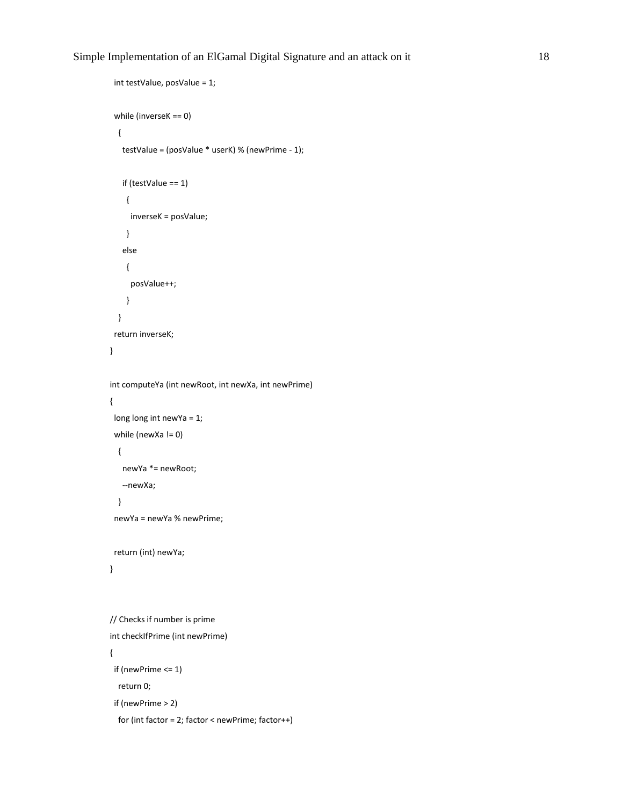```
 int testValue, posValue = 1;
  while (inverseK == 0)
   {
    testValue = (posValue * userK) % (newPrime - 1);
    if (testValue == 1)
     {
      inverseK = posValue;
     }
    else
     {
      posValue++;
     }
   }
  return inverseK;
}
int computeYa (int newRoot, int newXa, int newPrime)
{
  long long int newYa = 1;
 while (newXa != 0)
   {
    newYa *= newRoot;
    --newXa;
   }
  newYa = newYa % newPrime;
  return (int) newYa;
}
// Checks if number is prime
int checkIfPrime (int newPrime)
{
  if (newPrime <= 1)
   return 0;
  if (newPrime > 2)
   for (int factor = 2; factor < newPrime; factor++)
```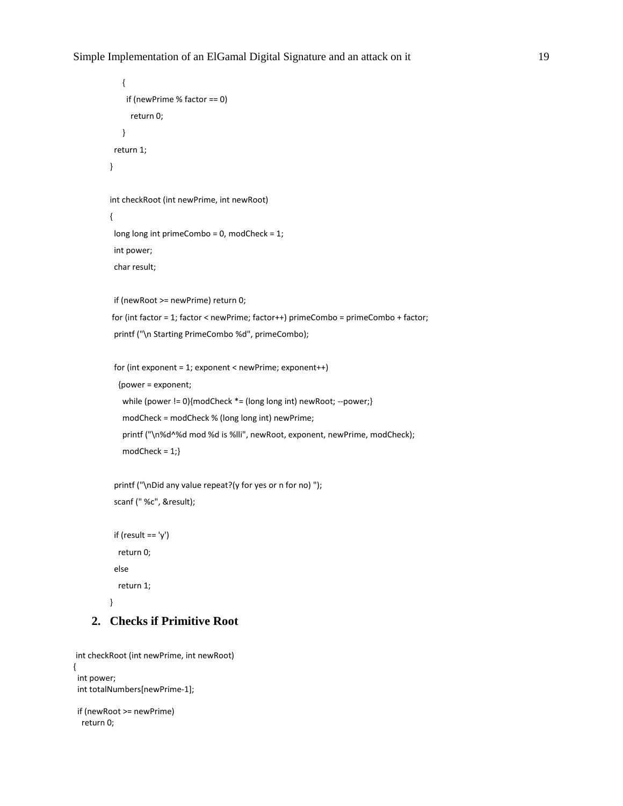```
 {
     if (newPrime % factor == 0)
      return 0;
    }
  return 1;
}
int checkRoot (int newPrime, int newRoot)
{
  long long int primeCombo = 0, modCheck = 1;
  int power;
  char result;
  if (newRoot >= newPrime) return 0;
for (int factor = 1; factor < newPrime; factor++) primeCombo = primeCombo + factor;
  printf ("\n Starting PrimeCombo %d", primeCombo);
  for (int exponent = 1; exponent < newPrime; exponent++)
   {power = exponent;
    while (power != 0){modCheck *= (long long int) newRoot; --power;}
    modCheck = modCheck % (long long int) newPrime;
    printf ("\n%d^%d mod %d is %lli", newRoot, exponent, newPrime, modCheck);
   modCheck = 1; printf ("\nDid any value repeat?(y for yes or n for no) ");
```

```
 scanf (" %c", &result);
```

```
if (result == 'y') return 0;
 else
 return 1;
```

```
}
```
### **2. Checks if Primitive Root**

```
int checkRoot (int newPrime, int newRoot)
{
  int power;
  int totalNumbers[newPrime-1];
```

```
 if (newRoot >= newPrime)
  return 0;
```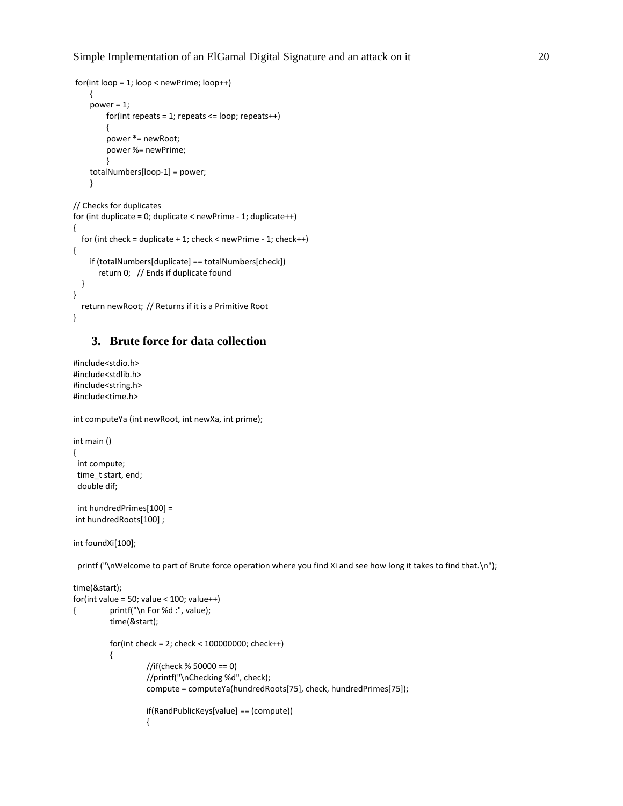```
for(int loop = 1; loop < newPrime; loop++)
     {
     power = 1;
         for(int repeats = 1; repeats <= loop; repeats++)
         {
         power *= newRoot;
         power %= newPrime;
 }
     totalNumbers[loop-1] = power;
     }
// Checks for duplicates
for (int duplicate = 0; duplicate < newPrime - 1; duplicate ++)
{
```

```
for (int check = duplicate + 1; check < newPrime - 1; check + +)
{
     if (totalNumbers[duplicate] == totalNumbers[check])
        return 0; // Ends if duplicate found
   }
}
```

```
 return newRoot; // Returns if it is a Primitive Root
}
```
#### **3. Brute force for data collection**

```
#include<stdio.h>
#include<stdlib.h>
#include<string.h>
#include<time.h>
```
int computeYa (int newRoot, int newXa, int prime);

```
int main ()
{
  int compute;
  time_t start, end;
  double dif;
```

```
 int hundredPrimes[100] = 
int hundredRoots[100] ;
```

```
int foundXi[100];
```
printf ("\nWelcome to part of Brute force operation where you find Xi and see how long it takes to find that.\n");

```
time(&start);
for(int value = 50; value < 100; value++){ printf("\n For %d :", value);
         time(&start);
         for(int check = 2; check < 100000000; check++)
         {
                  //if(check % 50000 == 0) 
                  //printf("\nChecking %d", check);
                  compute = computeYa(hundredRoots[75], check, hundredPrimes[75]);
                  if(RandPublicKeys[value] == (compute))
                  {
```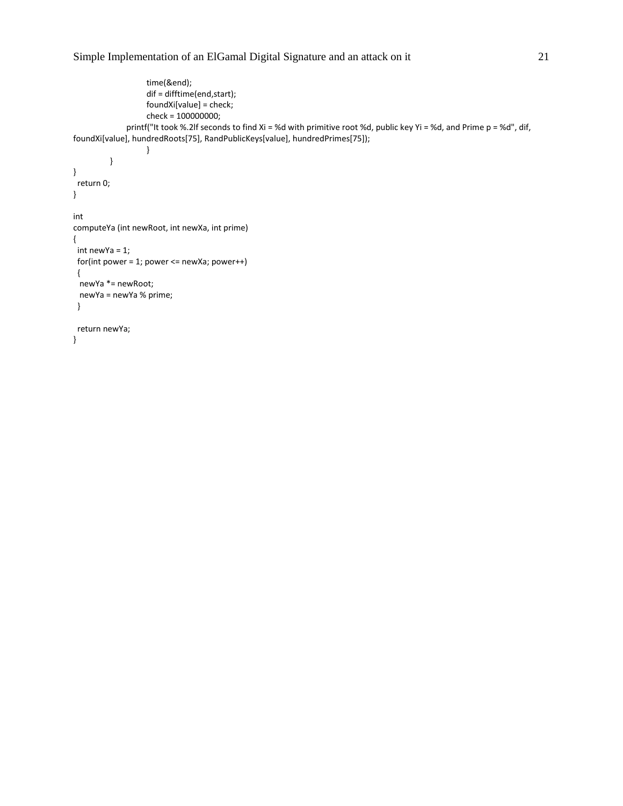```
time(&end);
                   dif = difftime(end,start);
                   foundXi[value] = check;
                   check = 100000000;
             printf("It took %.2lf seconds to find Xi = %d with primitive root %d, public key Yi = %d, and Prime p = %d", dif,
foundXi[value], hundredRoots[75], RandPublicKeys[value], hundredPrimes[75]);
                   }
         }
}
  return 0;
}
int
computeYa (int newRoot, int newXa, int prime)
{
  int newYa = 1;
  for(int power = 1; power <= newXa; power++)
  {
  newYa *= newRoot;
  newYa = newYa % prime;
  }
  return newYa;
}
```